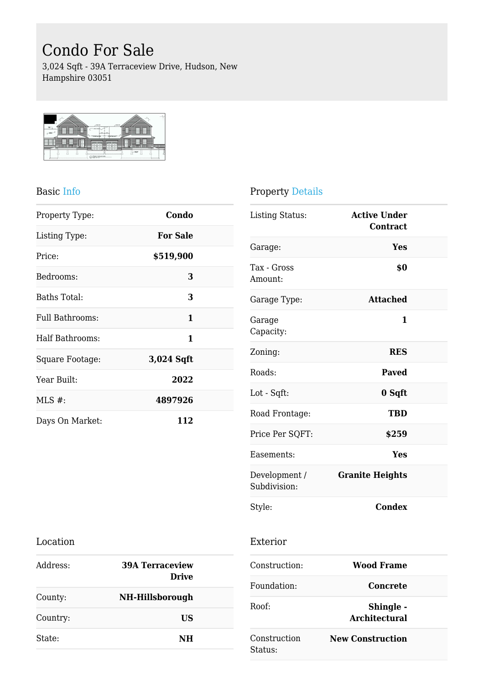# Condo For Sale

3,024 Sqft - 39A Terraceview Drive, Hudson, New Hampshire 03051



#### Basic Info

| Property Type:  | Condo           |  |
|-----------------|-----------------|--|
| Listing Type:   | <b>For Sale</b> |  |
| Price:          | \$519,900       |  |
| Bedrooms:       | 3               |  |
| Baths Total:    | 3               |  |
| Full Bathrooms: | 1               |  |
| Half Bathrooms: | 1               |  |
| Square Footage: | 3,024 Sqft      |  |
| Year Built:     | 2022            |  |
| $MLS$ #:        | 4897926         |  |
| Days On Market: | 112             |  |

### Property Details

Exterior

| <b>Listing Status:</b>        | <b>Active Under</b><br>Contract |  |
|-------------------------------|---------------------------------|--|
| Garage:                       | Yes                             |  |
| Tax - Gross<br>Amount:        | \$0                             |  |
| Garage Type:                  | <b>Attached</b>                 |  |
| Garage<br>Capacity:           | 1                               |  |
| Zoning:                       | <b>RES</b>                      |  |
| Roads:                        | <b>Paved</b>                    |  |
| Lot - Sqft:                   | 0 Sqft                          |  |
| Road Frontage:                | <b>TBD</b>                      |  |
| Price Per SQFT:               | \$259                           |  |
| Easements:                    | Yes                             |  |
| Development /<br>Subdivision: | <b>Granite Heights</b>          |  |
| Style:                        | <b>Condex</b>                   |  |

#### Location

| Address: | <b>39A Terraceview</b><br><b>Drive</b> |  |
|----------|----------------------------------------|--|
| County:  | NH-Hillsborough                        |  |
| Country: | US                                     |  |
| State:   | NH                                     |  |

| Construction:           | Wood Frame                        |  |
|-------------------------|-----------------------------------|--|
| Foundation:             | Concrete                          |  |
| Roof:                   | Shingle -<br><b>Architectural</b> |  |
| Construction<br>Status: | <b>New Construction</b>           |  |
|                         |                                   |  |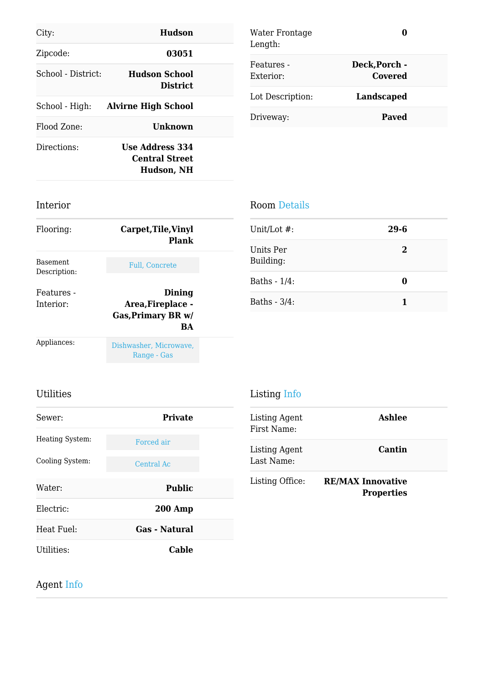| City:              | <b>Hudson</b>                                          |  |
|--------------------|--------------------------------------------------------|--|
| Zipcode:           | 03051                                                  |  |
| School - District: | Hudson School<br><b>District</b>                       |  |
| School - High:     | <b>Alvirne High School</b>                             |  |
| Flood Zone:        | <b>Unknown</b>                                         |  |
| Directions:        | <b>Use Address 334</b><br>Central Street<br>Hudson, NH |  |

| Water Frontage<br>Length: |                          |  |
|---------------------------|--------------------------|--|
| Features -<br>Exterior:   | Deck, Porch -<br>Covered |  |
| Lot Description:          | <b>Landscaped</b>        |  |
| Driveway:                 | <b>Paved</b>             |  |

## Interior

| Flooring:                       | Carpet, Tile, Vinyl<br>Plank                                          |  |
|---------------------------------|-----------------------------------------------------------------------|--|
| <b>Basement</b><br>Description: | <b>Full. Concrete</b>                                                 |  |
| Features -<br>Interior:         | Dining<br>Area, Fireplace -<br><b>Gas, Primary BR w/</b><br><b>BA</b> |  |
| Appliances:                     | Dishwasher, Microwave,<br>Range - Gas                                 |  |

### Room Details

| Unit/Lot #:            | $29 - 6$ |  |
|------------------------|----------|--|
| Units Per<br>Building: | 2        |  |
| Baths - 1/4:           | 0        |  |
| Baths - 3/4:           |          |  |

## Utilities

| <b>Utilities</b> |                      | Listing Info                 |                                               |
|------------------|----------------------|------------------------------|-----------------------------------------------|
| Sewer:           | <b>Private</b>       | Listing Agent<br>First Name: | <b>Ashlee</b>                                 |
| Heating System:  | Forced air           | Listing Agent                | Cantin                                        |
| Cooling System:  | Central Ac           | Last Name:                   |                                               |
| Water:           | <b>Public</b>        | Listing Office:              | <b>RE/MAX Innovative</b><br><b>Properties</b> |
| Electric:        | <b>200 Amp</b>       |                              |                                               |
| Heat Fuel:       | <b>Gas - Natural</b> |                              |                                               |
| Utilities:       | <b>Cable</b>         |                              |                                               |

# Agent Info